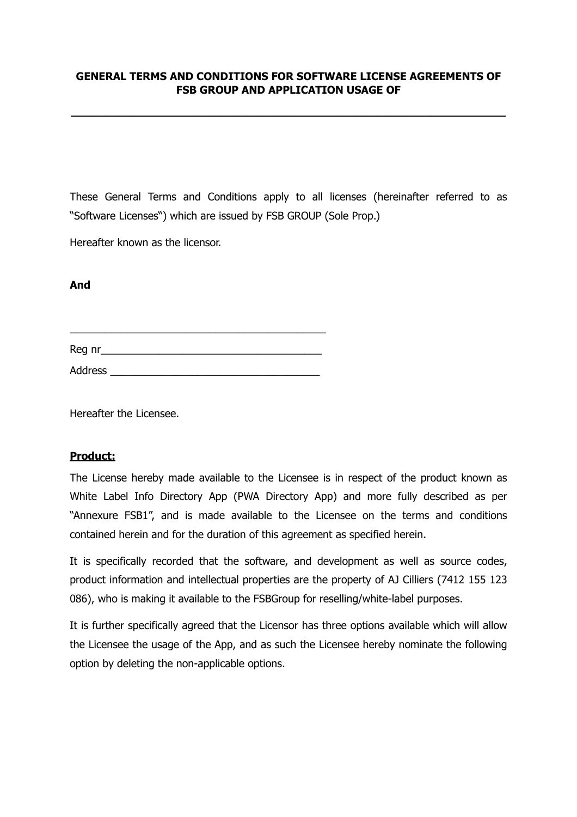## **GENERAL TERMS AND CONDITIONS FOR SOFTWARE LICENSE AGREEMENTS OF FSB GROUP AND APPLICATION USAGE OF**

**\_\_\_\_\_\_\_\_\_\_\_\_\_\_\_\_\_\_\_\_\_\_\_\_\_\_\_\_\_\_\_\_\_\_\_\_\_\_\_\_\_\_\_\_\_\_\_\_\_\_\_\_\_\_\_\_\_\_\_\_\_\_\_\_**

These General Terms and Conditions apply to all licenses (hereinafter referred to as "Software Licenses") which are issued by FSB GROUP (Sole Prop.)

Hereafter known as the licensor.

### **And**

Reg nr\_\_\_\_\_\_\_\_\_\_\_\_\_\_\_\_\_\_\_\_\_\_\_\_\_\_\_\_\_\_\_\_\_\_\_\_\_\_

\_\_\_\_\_\_\_\_\_\_\_\_\_\_\_\_\_\_\_\_\_\_\_\_\_\_\_\_\_\_\_\_\_\_\_\_\_\_\_\_\_\_\_\_

Address \_\_\_\_\_\_\_\_\_\_\_\_\_\_\_\_\_\_\_\_\_\_\_\_\_\_\_\_\_\_\_\_\_\_\_\_

Hereafter the Licensee.

## **Product:**

The License hereby made available to the Licensee is in respect of the product known as White Label Info Directory App (PWA Directory App) and more fully described as per "Annexure FSB1", and is made available to the Licensee on the terms and conditions contained herein and for the duration of this agreement as specified herein.

It is specifically recorded that the software, and development as well as source codes, product information and intellectual properties are the property of AJ Cilliers (7412 155 123 086), who is making it available to the FSBGroup for reselling/white-label purposes.

It is further specifically agreed that the Licensor has three options available which will allow the Licensee the usage of the App, and as such the Licensee hereby nominate the following option by deleting the non-applicable options.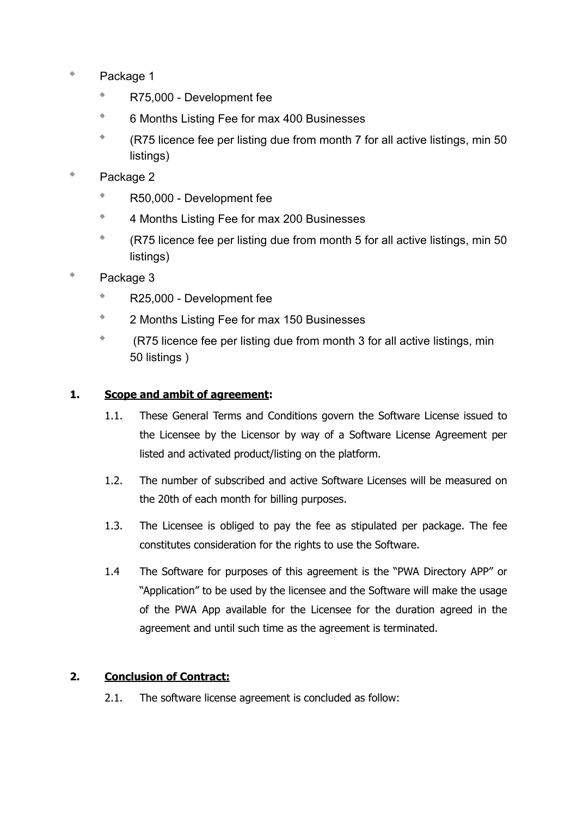- $\Phi$ Package 1
	- $\phi$ R75,000 - Development fee
	- $\Phi$ 6 Months Listing Fee for max 400 Businesses
	- $\Phi$ (R75 licence fee per listing due from month 7 for all active listings, min 50 listings)
- $\phi$ Package 2
	- $\bar{\phi}$ R50,000 - Development fee
	- $\Phi$ 4 Months Listing Fee for max 200 Businesses
	- $\bar{\Phi}$ (R75 licence fee per listing due from month 5 for all active listings, min 50 listings)
- Package 3
	- $\Phi$ R25,000 - Development fee
	- $\hat{\mathbf{r}}$ 2 Months Listing Fee for max 150 Businesses
	- $\hat{\mathbf{q}}_i$  (R75 licence fee per listing due from month 3 for all active listings, min 50 listings )

# **1. Scope and ambit of agreement:**

- 1.1. These General Terms and Conditions govern the Software License issued to the Licensee by the Licensor by way of a Software License Agreement per listed and activated product/listing on the platform.
- 1.2. The number of subscribed and active Software Licenses will be measured on the 20th of each month for billing purposes.
- 1.3. The Licensee is obliged to pay the fee as stipulated per package. The fee constitutes consideration for the rights to use the Software.
- 1.4 The Software for purposes of this agreement is the "PWA Directory APP" or "Application" to be used by the licensee and the Software will make the usage of the PWA App available for the Licensee for the duration agreed in the agreement and until such time as the agreement is terminated.

## **2. Conclusion of Contract:**

2.1. The software license agreement is concluded as follow: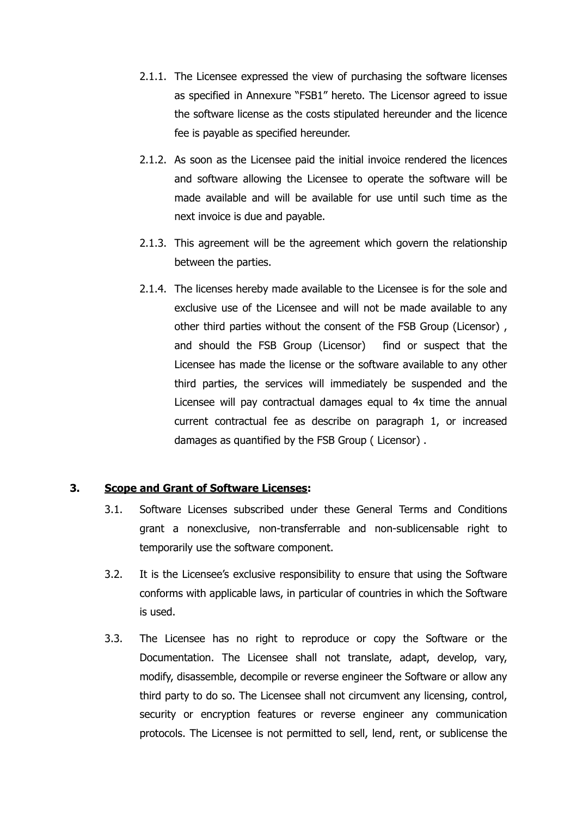- 2.1.1. The Licensee expressed the view of purchasing the software licenses as specified in Annexure "FSB1" hereto. The Licensor agreed to issue the software license as the costs stipulated hereunder and the licence fee is payable as specified hereunder.
- 2.1.2. As soon as the Licensee paid the initial invoice rendered the licences and software allowing the Licensee to operate the software will be made available and will be available for use until such time as the next invoice is due and payable.
- 2.1.3. This agreement will be the agreement which govern the relationship between the parties.
- 2.1.4. The licenses hereby made available to the Licensee is for the sole and exclusive use of the Licensee and will not be made available to any other third parties without the consent of the FSB Group (Licensor) , and should the FSB Group (Licensor) find or suspect that the Licensee has made the license or the software available to any other third parties, the services will immediately be suspended and the Licensee will pay contractual damages equal to 4x time the annual current contractual fee as describe on paragraph 1, or increased damages as quantified by the FSB Group ( Licensor) .

#### **3. Scope and Grant of Software Licenses:**

- 3.1. Software Licenses subscribed under these General Terms and Conditions grant a nonexclusive, non-transferrable and non-sublicensable right to temporarily use the software component.
- 3.2. It is the Licensee's exclusive responsibility to ensure that using the Software conforms with applicable laws, in particular of countries in which the Software is used.
- 3.3. The Licensee has no right to reproduce or copy the Software or the Documentation. The Licensee shall not translate, adapt, develop, vary, modify, disassemble, decompile or reverse engineer the Software or allow any third party to do so. The Licensee shall not circumvent any licensing, control, security or encryption features or reverse engineer any communication protocols. The Licensee is not permitted to sell, lend, rent, or sublicense the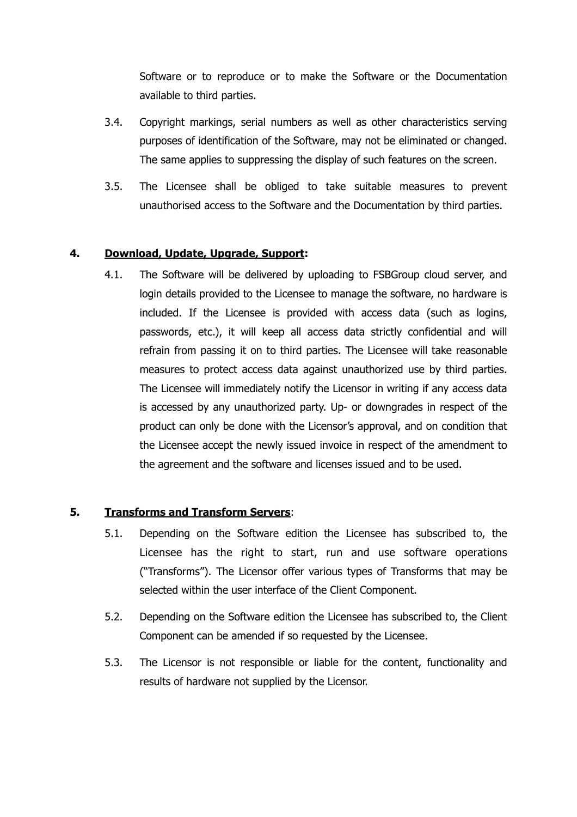Software or to reproduce or to make the Software or the Documentation available to third parties.

- 3.4. Copyright markings, serial numbers as well as other characteristics serving purposes of identification of the Software, may not be eliminated or changed. The same applies to suppressing the display of such features on the screen.
- 3.5. The Licensee shall be obliged to take suitable measures to prevent unauthorised access to the Software and the Documentation by third parties.

## **4. Download, Update, Upgrade, Support:**

4.1. The Software will be delivered by uploading to FSBGroup cloud server, and login details provided to the Licensee to manage the software, no hardware is included. If the Licensee is provided with access data (such as logins, passwords, etc.), it will keep all access data strictly confidential and will refrain from passing it on to third parties. The Licensee will take reasonable measures to protect access data against unauthorized use by third parties. The Licensee will immediately notify the Licensor in writing if any access data is accessed by any unauthorized party. Up- or downgrades in respect of the product can only be done with the Licensor's approval, and on condition that the Licensee accept the newly issued invoice in respect of the amendment to the agreement and the software and licenses issued and to be used.

## **5. Transforms and Transform Servers**:

- 5.1. Depending on the Software edition the Licensee has subscribed to, the Licensee has the right to start, run and use software operations ("Transforms"). The Licensor offer various types of Transforms that may be selected within the user interface of the Client Component.
- 5.2. Depending on the Software edition the Licensee has subscribed to, the Client Component can be amended if so requested by the Licensee.
- 5.3. The Licensor is not responsible or liable for the content, functionality and results of hardware not supplied by the Licensor.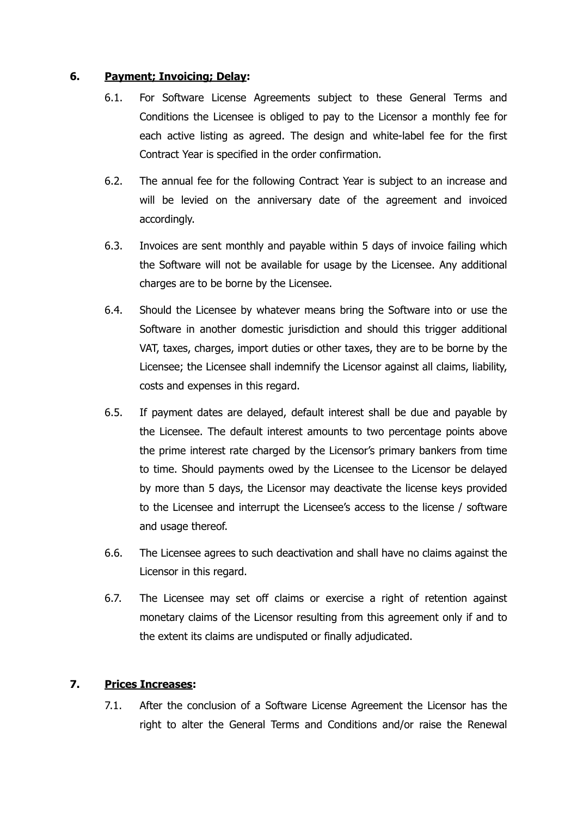### **6. Payment; Invoicing; Delay:**

- 6.1. For Software License Agreements subject to these General Terms and Conditions the Licensee is obliged to pay to the Licensor a monthly fee for each active listing as agreed. The design and white-label fee for the first Contract Year is specified in the order confirmation.
- 6.2. The annual fee for the following Contract Year is subject to an increase and will be levied on the anniversary date of the agreement and invoiced accordingly.
- 6.3. Invoices are sent monthly and payable within 5 days of invoice failing which the Software will not be available for usage by the Licensee. Any additional charges are to be borne by the Licensee.
- 6.4. Should the Licensee by whatever means bring the Software into or use the Software in another domestic jurisdiction and should this trigger additional VAT, taxes, charges, import duties or other taxes, they are to be borne by the Licensee; the Licensee shall indemnify the Licensor against all claims, liability, costs and expenses in this regard.
- 6.5. If payment dates are delayed, default interest shall be due and payable by the Licensee. The default interest amounts to two percentage points above the prime interest rate charged by the Licensor's primary bankers from time to time. Should payments owed by the Licensee to the Licensor be delayed by more than 5 days, the Licensor may deactivate the license keys provided to the Licensee and interrupt the Licensee's access to the license / software and usage thereof.
- 6.6. The Licensee agrees to such deactivation and shall have no claims against the Licensor in this regard.
- 6.7. The Licensee may set off claims or exercise a right of retention against monetary claims of the Licensor resulting from this agreement only if and to the extent its claims are undisputed or finally adjudicated.

## **7. Prices Increases:**

7.1. After the conclusion of a Software License Agreement the Licensor has the right to alter the General Terms and Conditions and/or raise the Renewal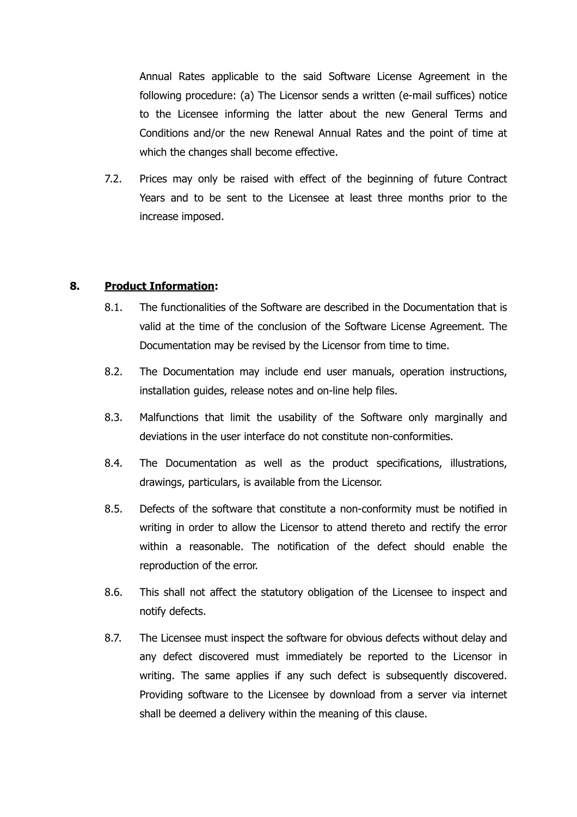Annual Rates applicable to the said Software License Agreement in the following procedure: (a) The Licensor sends a written (e-mail suffices) notice to the Licensee informing the latter about the new General Terms and Conditions and/or the new Renewal Annual Rates and the point of time at which the changes shall become effective.

7.2. Prices may only be raised with effect of the beginning of future Contract Years and to be sent to the Licensee at least three months prior to the increase imposed.

## **8. Product Information:**

- 8.1. The functionalities of the Software are described in the Documentation that is valid at the time of the conclusion of the Software License Agreement. The Documentation may be revised by the Licensor from time to time.
- 8.2. The Documentation may include end user manuals, operation instructions, installation guides, release notes and on-line help files.
- 8.3. Malfunctions that limit the usability of the Software only marginally and deviations in the user interface do not constitute non-conformities.
- 8.4. The Documentation as well as the product specifications, illustrations, drawings, particulars, is available from the Licensor.
- 8.5. Defects of the software that constitute a non-conformity must be notified in writing in order to allow the Licensor to attend thereto and rectify the error within a reasonable. The notification of the defect should enable the reproduction of the error.
- 8.6. This shall not affect the statutory obligation of the Licensee to inspect and notify defects.
- 8.7. The Licensee must inspect the software for obvious defects without delay and any defect discovered must immediately be reported to the Licensor in writing. The same applies if any such defect is subsequently discovered. Providing software to the Licensee by download from a server via internet shall be deemed a delivery within the meaning of this clause.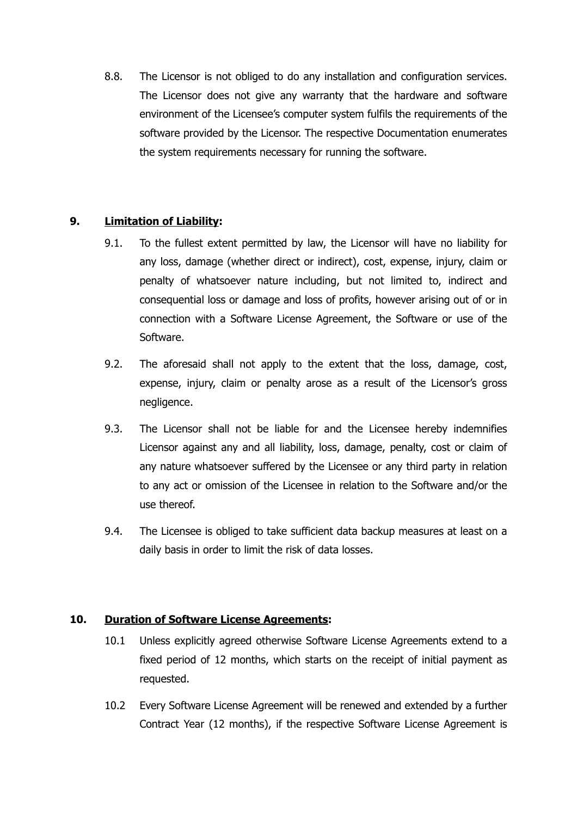8.8. The Licensor is not obliged to do any installation and configuration services. The Licensor does not give any warranty that the hardware and software environment of the Licensee's computer system fulfils the requirements of the software provided by the Licensor. The respective Documentation enumerates the system requirements necessary for running the software.

# **9. Limitation of Liability:**

- 9.1. To the fullest extent permitted by law, the Licensor will have no liability for any loss, damage (whether direct or indirect), cost, expense, injury, claim or penalty of whatsoever nature including, but not limited to, indirect and consequential loss or damage and loss of profits, however arising out of or in connection with a Software License Agreement, the Software or use of the Software.
- 9.2. The aforesaid shall not apply to the extent that the loss, damage, cost, expense, injury, claim or penalty arose as a result of the Licensor's gross negligence.
- 9.3. The Licensor shall not be liable for and the Licensee hereby indemnifies Licensor against any and all liability, loss, damage, penalty, cost or claim of any nature whatsoever suffered by the Licensee or any third party in relation to any act or omission of the Licensee in relation to the Software and/or the use thereof.
- 9.4. The Licensee is obliged to take sufficient data backup measures at least on a daily basis in order to limit the risk of data losses.

## **10. Duration of Software License Agreements:**

- 10.1 Unless explicitly agreed otherwise Software License Agreements extend to a fixed period of 12 months, which starts on the receipt of initial payment as requested.
- 10.2 Every Software License Agreement will be renewed and extended by a further Contract Year (12 months), if the respective Software License Agreement is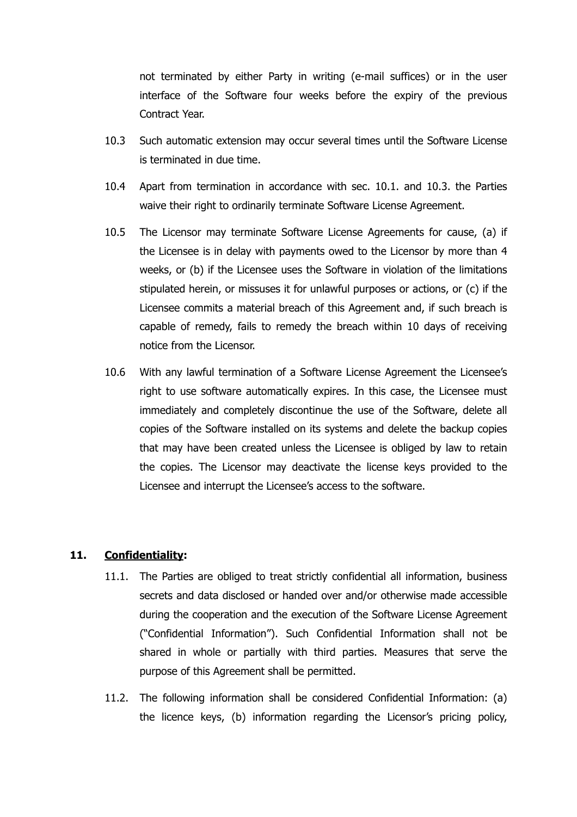not terminated by either Party in writing (e-mail suffices) or in the user interface of the Software four weeks before the expiry of the previous Contract Year.

- 10.3 Such automatic extension may occur several times until the Software License is terminated in due time.
- 10.4 Apart from termination in accordance with sec. 10.1. and 10.3. the Parties waive their right to ordinarily terminate Software License Agreement.
- 10.5 The Licensor may terminate Software License Agreements for cause, (a) if the Licensee is in delay with payments owed to the Licensor by more than 4 weeks, or (b) if the Licensee uses the Software in violation of the limitations stipulated herein, or missuses it for unlawful purposes or actions, or (c) if the Licensee commits a material breach of this Agreement and, if such breach is capable of remedy, fails to remedy the breach within 10 days of receiving notice from the Licensor.
- 10.6 With any lawful termination of a Software License Agreement the Licensee's right to use software automatically expires. In this case, the Licensee must immediately and completely discontinue the use of the Software, delete all copies of the Software installed on its systems and delete the backup copies that may have been created unless the Licensee is obliged by law to retain the copies. The Licensor may deactivate the license keys provided to the Licensee and interrupt the Licensee's access to the software.

#### **11. Confidentiality:**

- 11.1. The Parties are obliged to treat strictly confidential all information, business secrets and data disclosed or handed over and/or otherwise made accessible during the cooperation and the execution of the Software License Agreement ("Confidential Information"). Such Confidential Information shall not be shared in whole or partially with third parties. Measures that serve the purpose of this Agreement shall be permitted.
- 11.2. The following information shall be considered Confidential Information: (a) the licence keys, (b) information regarding the Licensor's pricing policy,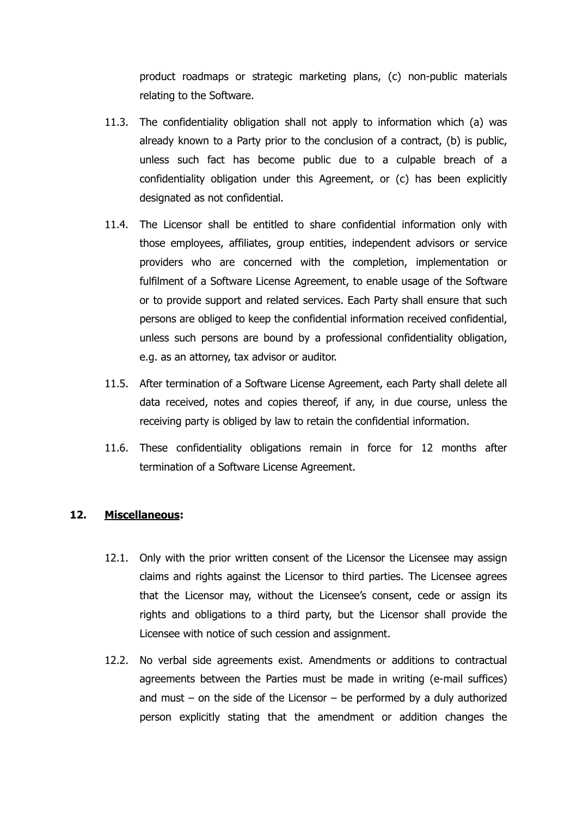product roadmaps or strategic marketing plans, (c) non-public materials relating to the Software.

- 11.3. The confidentiality obligation shall not apply to information which (a) was already known to a Party prior to the conclusion of a contract, (b) is public, unless such fact has become public due to a culpable breach of a confidentiality obligation under this Agreement, or (c) has been explicitly designated as not confidential.
- 11.4. The Licensor shall be entitled to share confidential information only with those employees, affiliates, group entities, independent advisors or service providers who are concerned with the completion, implementation or fulfilment of a Software License Agreement, to enable usage of the Software or to provide support and related services. Each Party shall ensure that such persons are obliged to keep the confidential information received confidential, unless such persons are bound by a professional confidentiality obligation, e.g. as an attorney, tax advisor or auditor.
- 11.5. After termination of a Software License Agreement, each Party shall delete all data received, notes and copies thereof, if any, in due course, unless the receiving party is obliged by law to retain the confidential information.
- 11.6. These confidentiality obligations remain in force for 12 months after termination of a Software License Agreement.

## **12. Miscellaneous:**

- 12.1. Only with the prior written consent of the Licensor the Licensee may assign claims and rights against the Licensor to third parties. The Licensee agrees that the Licensor may, without the Licensee's consent, cede or assign its rights and obligations to a third party, but the Licensor shall provide the Licensee with notice of such cession and assignment.
- 12.2. No verbal side agreements exist. Amendments or additions to contractual agreements between the Parties must be made in writing (e-mail suffices) and must – on the side of the Licensor – be performed by a duly authorized person explicitly stating that the amendment or addition changes the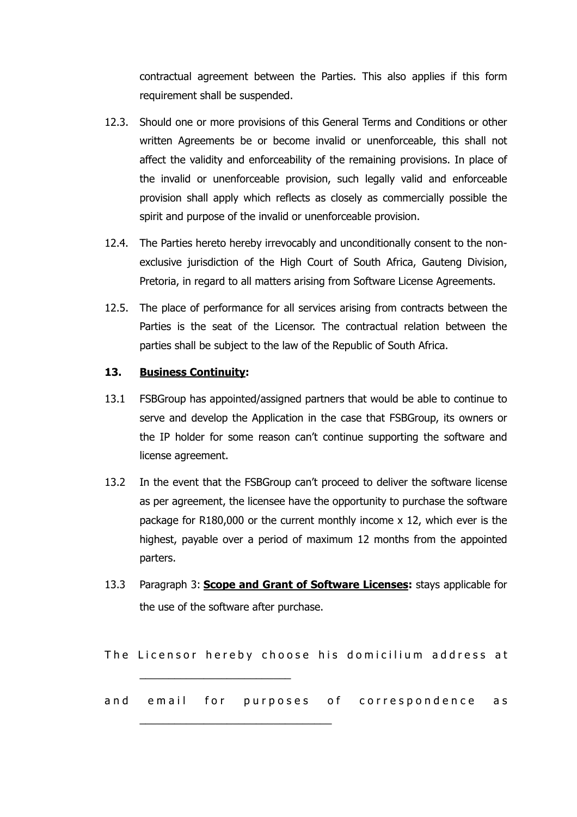contractual agreement between the Parties. This also applies if this form requirement shall be suspended.

- 12.3. Should one or more provisions of this General Terms and Conditions or other written Agreements be or become invalid or unenforceable, this shall not affect the validity and enforceability of the remaining provisions. In place of the invalid or unenforceable provision, such legally valid and enforceable provision shall apply which reflects as closely as commercially possible the spirit and purpose of the invalid or unenforceable provision.
- 12.4. The Parties hereto hereby irrevocably and unconditionally consent to the nonexclusive jurisdiction of the High Court of South Africa, Gauteng Division, Pretoria, in regard to all matters arising from Software License Agreements.
- 12.5. The place of performance for all services arising from contracts between the Parties is the seat of the Licensor. The contractual relation between the parties shall be subject to the law of the Republic of South Africa.

### **13. Business Continuity:**

- 13.1 FSBGroup has appointed/assigned partners that would be able to continue to serve and develop the Application in the case that FSBGroup, its owners or the IP holder for some reason can't continue supporting the software and license agreement.
- 13.2 In the event that the FSBGroup can't proceed to deliver the software license as per agreement, the licensee have the opportunity to purchase the software package for R180,000 or the current monthly income x 12, which ever is the highest, payable over a period of maximum 12 months from the appointed parters.
- 13.3 Paragraph 3: **Scope and Grant of Software Licenses:** stays applicable for the use of the software after purchase.

The Licensor hereby choose his domicilium address at

\_\_\_\_\_\_\_\_\_\_\_\_\_\_\_\_\_\_\_\_\_\_\_\_\_\_

\_\_\_\_\_\_\_\_\_\_\_\_\_\_\_\_\_\_\_\_\_\_\_\_\_\_\_\_\_\_\_\_\_

and email for purposes of correspondence as